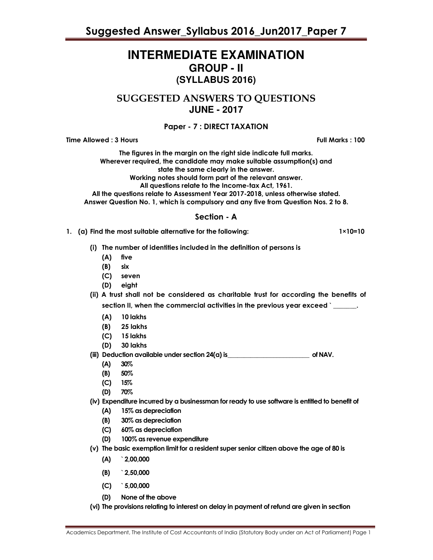# **INTERMEDIATE EXAMINATION GROUP - II (SYLLABUS 2016)**

SUGGESTED ANSWERS TO QUESTIONS **JUNE - 2017**

# Paper - 7 : DIRECT TAXATION

Time Allowed : 3 Hours Full Marks : 100

The figures in the margin on the right side indicate full marks. Wherever required, the candidate may make suitable assumption(s) and state the same clearly in the answer. Working notes should form part of the relevant answer. All questions relate to the Income-tax Act, 1961.

All the questions relate to Assessment Year 2017-2018, unless otherwise stated. Answer Question No. 1, which is compulsory and any five from Question Nos. 2 to 8.

## Section - A

- 1. (a) Find the most suitable alternative for the following: 1×10=10
	- (i) The number of identities included in the definition of persons is
		- (A) five
		- (B) six
		- (C) seven
		- (D) eight

(ii) A trust shall not be considered as charitable trust for according the benefits of section II, when the commercial activities in the previous year exceed `\_\_\_\_

- (A) 10 lakhs
- (B) 25 lakhs
- (C) 15 lakhs
- (D) 30 lakhs

### (iii) Deduction available under section 24(a) is \_\_\_\_\_\_\_\_\_\_\_\_\_\_\_\_\_\_\_\_\_\_\_\_\_ of NAV.

- (A) 30%
- (B) 50%
- (C) 15%
- (D) 70%
- (iv) Expenditure incurred by a businessman for ready to use software is entitled to benefit of
	- (A) 15% as depreciation
	- (B) 30% as depreciation
	- (C) 60% as depreciation
	- (D) 100% as revenue expenditure
- (v) The basic exemption limit for a resident super senior citizen above the age of 80 is
	- (A) ` 2,00,000
	- (B) ` 2,50,000
	- (C) ` 5,00,000
	- (D) None of the above
- (vi) The provisions relating to interest on delay in payment of refund are given in section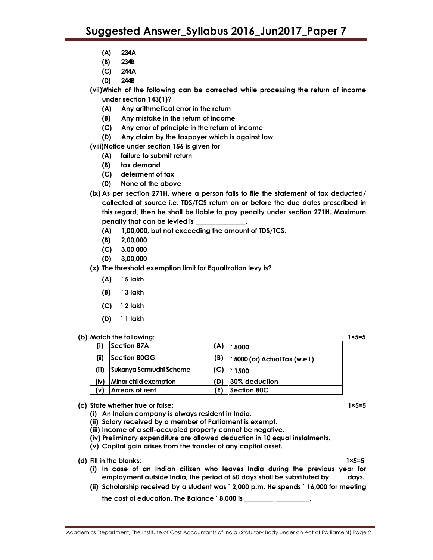- (A) 234A
- (B) 234B
- (C) 244A
- (D) 244B

(vii)Which of the following can be corrected while processing the return of income under section 143(1)?

- (A) Any arithmetical error in the return
- (B) Any mistake in the return of income
- (C) Any error of principle in the return of income
- (D) Any claim by the taxpayer which is against law

(viii)Notice under section 156 is given for

- (A) failure to submit return
- (B) tax demand
- (C) deferment of tax
- (D) None of the above
- (ix) As per section 271H, where a person fails to file the statement of tax deducted/ collected at source i.e. TDS/TCS return on or before the due dates prescribed in this regard, then he shall be liable to pay penalty under section 271H. Maximum penalty that can be levied is \_
	- (A) 1,00,000, but not exceeding the amount of TDS/TCS.
	- (B) 2,00,000
	- (C) 3,00,000
	- (D) 3,00,000
- (x) The threshold exemption limit for Equalization levy is?
	- (A) ` 5 lakh
	- (B) ` 3 lakh
	- (C) ` 2 lakh
	- (D) ` 1 lakh

#### (b) Match the following: 1×5=5

| (i)   | Section 87A             | (A) | 5000                          |
|-------|-------------------------|-----|-------------------------------|
| (i)   | Section 80GG            | (B) | 5000 (or) Actual Tax (w.e.l.) |
| (iii) | Sukanya Samrudhi Scheme | (C) | 1500                          |
| (iv)  | Minor child exemption   | (D) | 30% deduction                 |
| (v)   | Arrears of rent         |     | Section 80C                   |

- (c) State whether true or false: 1×5=5
	- (i) An Indian company is always resident in India.
	- (ii) Salary received by a member of Parliament is exempt.
	- (iii) Income of a self-occupied property cannot be negative.
	- (iv) Preliminary expenditure are allowed deduction in 10 equal instalments.
	- (v) Capital gain arises from the transfer of any capital asset.

- 
- (i) In case of an Indian citizen who leaves India during the previous year for employment outside India, the period of 60 days shall be substituted by\_\_\_\_\_ days.
- (ii) Scholarship received by a student was ` 2,000 p.m. He spends ` 16,000 for meeting
	- the cost of education. The Balance `8,000 is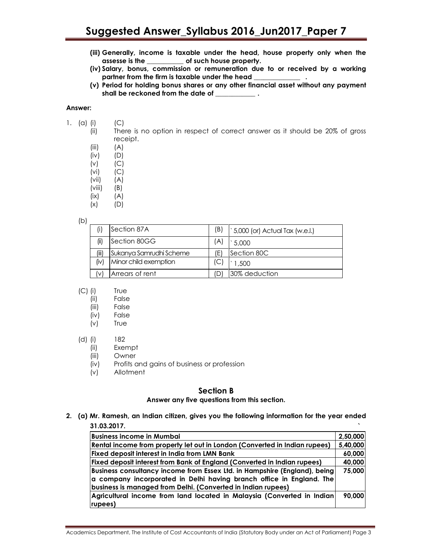- (iii) Generally, income is taxable under the head, house property only when the assesse is the \_\_\_\_\_\_\_\_\_\_\_ of such house property.
- (iv) Salary, bonus, commission or remuneration due to or received by a working partner from the firm is taxable under the head \_\_\_
- (v) Period for holding bonus shares or any other financial asset without any payment shall be reckoned from the date of \_\_\_\_\_\_\_\_\_\_\_\_\_\_\_.

#### Answer:

- 1. (a) (i)  $(C)$ 
	- (ii) There is no option in respect of correct answer as it should be 20% of gross receipt.
	- $(iii)$   $(A)$
	- (iv) (D)
	- $(V)$   $(C)$
	- (vi) (C)
	- (vii) (A)  $(viii)$   $(B)$
	- $(ix)$   $(A)$
	- $(x)$   $(D)$ 
		-

(b)

|       | Section 87A             | (B) | 5,000 (or) Actual Tax (w.e.l.) |
|-------|-------------------------|-----|--------------------------------|
| (ii)  | Section 80GG            | (A  | 5.000                          |
| (iii) | Sukanya Samrudhi Scheme | E   | Section 80C                    |
| (iv)  | Minor child exemption   |     | 1.500                          |
|       | Arrears of rent         | וחי | 30% deduction                  |

- (C) (i) True
	- (ii) False
	- (iii) False
	- (iv) False
	- (v) True
- (d) (i) 182
	- (ii) Exempt
	- (iii) Owner
	- (iv) Profits and gains of business or profession
	- (v) Allotment

## Section B

#### Answer any five questions from this section.

2. (a) Mr. Ramesh, an Indian citizen, gives you the following information for the year ended 31.03.2017. `

| <b>Business income in Mumbai</b>                                            | 2,50,000 |
|-----------------------------------------------------------------------------|----------|
| Rental income from property let out in London (Converted in Indian rupees)  | 5,40,000 |
| Fixed deposit interest in India from LMN Bank                               | 60,000   |
| Fixed deposit interest from Bank of England (Converted in Indian rupees)    | 40,000   |
| Business consultancy income from Essex Ltd. in Hampshire (England), being   | 75,000   |
| $\alpha$ company incorporated in Delhi having branch office in England. The |          |
| business is managed from Delhi. (Converted in Indian rupees)                |          |
| Agricultural income from land located in Malaysia (Converted in Indian)     | 90,000   |
| rupees)                                                                     |          |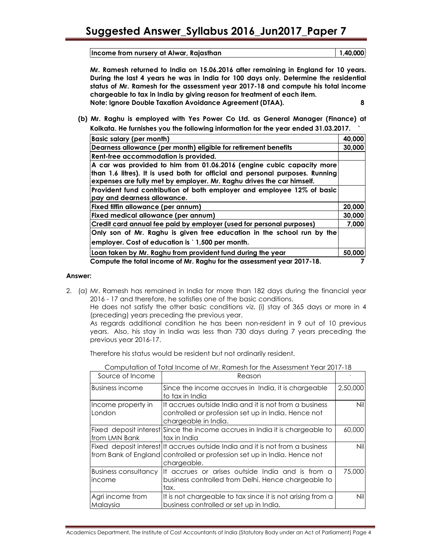Income from nursery at Alwar, Rajasthan 1,40,000

Mr. Ramesh returned to India on 15.06.2016 after remaining in England for 10 years. During the last 4 years he was in India for 100 days only. Determine the residential status of Mr. Ramesh for the assessment year 2017-18 and compute his total income chargeable to tax in India by giving reason for treatment of each item. Note: Ignore Double Taxation Avoidance Agreement (DTAA). 8

(b) Mr. Raghu is employed with Yes Power Co Ltd. as General Manager (Finance) at Kolkata. He furnishes you the following information for the year ended 31.03.2017. `

| Basic salary (per month)                                                      | 40,000 |
|-------------------------------------------------------------------------------|--------|
| Dearness allowance (per month) eligible for retirement benefits               | 30,000 |
| Rent-free accommodation is provided.                                          |        |
| A car was provided to him from 01.06.2016 (engine cubic capacity more         |        |
| than 1.6 litres). It is used both for official and personal purposes. Running |        |
| expenses are fully met by employer. Mr. Raghu drives the car himself.         |        |
| Provident fund contribution of both employer and employee 12% of basic        |        |
| pay and dearness allowance.                                                   |        |
| Fixed tiffin allowance (per annum)                                            | 20,000 |
| Fixed medical allowance (per annum)                                           | 30,000 |
| Credit card annual fee paid by employer (used for personal purposes)          | 7,000  |
| Only son of Mr. Raghu is given free education in the school run by the        |        |
| employer. Cost of education is 1,500 per month.                               |        |
| Loan taken by Mr. Raghu from provident fund during the year                   | 50,000 |
| Compute the total income of Mr. Raghu for the assessment year 2017-18.        |        |

### Answer:

2. (a) Mr. Ramesh has remained in India for more than 182 days during the financial year 2016 - 17 and therefore, he satisfies one of the basic conditions.

He does not satisfy the other basic conditions viz. (i) stay of 365 days or more in 4 (preceding) years preceding the previous year.

As regards additional condition he has been non-resident in 9 out of 10 previous years. Also, his stay in India was less than 730 days during 7 years preceding the previous year 2016-17.

Therefore his status would be resident but not ordinarily resident.

| Source of Income                      | Reason                                                                                                                                                                   |            |
|---------------------------------------|--------------------------------------------------------------------------------------------------------------------------------------------------------------------------|------------|
| Business income                       | Since the income accrues in India, it is chargeable<br>to tax in India                                                                                                   | 2,50,000   |
| Income property in<br>London          | It accrues outside India and it is not from a business<br>controlled or profession set up in India. Hence not<br>chargeable in India.                                    | <b>Nil</b> |
| from LMN Bank                         | Fixed deposit interest Since the income accrues in India it is chargeable to<br>tax in India                                                                             | 60,000     |
|                                       | Fixed deposit interest It accrues outside India and it is not from a business<br>from Bank of England controlled or profession set up in India. Hence not<br>chargeable. | <b>Nil</b> |
| <b>Business consultancy</b><br>income | It accrues or arises outside India and is from a<br>business controlled from Delhi. Hence chargeable to<br>tax.                                                          | 75,000     |
| Agri income from<br>Malaysia          | It is not chargeable to tax since it is not arising from a<br>business controlled or set up in India.                                                                    | Nill       |

Computation of Total Income of Mr. Ramesh for the Assessment Year 2017-18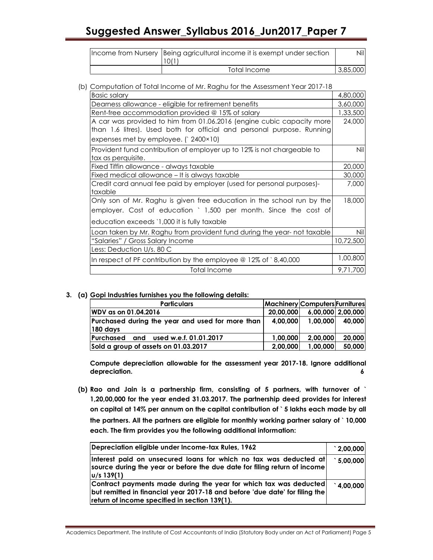| Income from Nursery Being agricultural income it is exempt under section<br>10/1 | Nill     |
|----------------------------------------------------------------------------------|----------|
| Total Income                                                                     | 3,85,000 |

(b) Computation of Total Income of Mr. Raghu for the Assessment Year 2017-18

| <b>Basic salary</b>                                                      | 4,80,000  |
|--------------------------------------------------------------------------|-----------|
| Dearness allowance - eligible for retirement benefits                    | 3,60,000  |
| Rent-free accommodation provided @ 15% of salary                         | 1,33,500  |
| A car was provided to him from 01.06.2016 (engine cubic capacity more    | 24,000    |
| than 1.6 litres). Used both for official and personal purpose. Running   |           |
| expenses met by employee. $(2400 \times 10)$                             |           |
| Provident fund contribution of employer up to 12% is not chargeable to   | Nil       |
| tax as perquisite.                                                       |           |
| Fixed Tiffin allowance - always taxable                                  | 20,000    |
| Fixed medical allowance - It is always taxable                           | 30,000    |
| Credit card annual fee paid by employer (used for personal purposes)-    | 7,000     |
| taxable                                                                  |           |
| Only son of Mr. Raghu is given free education in the school run by the   | 18,000    |
| employer. Cost of education ` 1,500 per month. Since the cost of         |           |
| education exceeds `1,000 it is fully taxable                             |           |
| Loan taken by Mr. Raghu from provident fund during the year- not taxable | Nil       |
| "Salaries" / Gross Salary Income                                         | 10,72,500 |
| Less: Deduction U/s. 80 C                                                |           |
| In respect of PF contribution by the employee $@12\%$ of $@140,000$      | 1,00,800  |
| Total Income                                                             | 9,71,700  |

### 3. (a) Gopi Industries furnishes you the following details:

| <b>Particulars</b>                               | Machinery Computers Furnitures |          |                   |
|--------------------------------------------------|--------------------------------|----------|-------------------|
| WDV as on 01.04.2016                             | 20,00,000                      |          | 6,00,000 2,00,000 |
| Purchased during the year and used for more than | 4,00,000                       | 1,00,000 | 40,000            |
| $ 180 \text{ days} $                             |                                |          |                   |
| Purchased and used w.e.f. 01.01.2017             | 1.00.000                       | 2.00.000 | 20,000            |
| Sold a group of assets on 01.03.2017             | 2,00,000                       | 1,00,000 | 50,000            |

Compute depreciation allowable for the assessment year 2017-18. Ignore additional depreciation. 6 and 20 km s and 20 km s and 20 km s and 20 km s and 20 km s and 20 km s and 20 km s and 20 km s  $\delta$ 

(b) Rao and Jain is a partnership firm, consisting of 5 partners, with turnover of ` 1,20,00,000 for the year ended 31.03.2017. The partnership deed provides for interest on capital at 14% per annum on the capital contribution of ` 5 lakhs each made by all the partners. All the partners are eligible for monthly working partner salary of ` 10,000 each. The firm provides you the following additional information:

| Depreciation eligible under Income-tax Rules, 1962                                                                                                                                                | $\degree$ 2,00,000 |
|---------------------------------------------------------------------------------------------------------------------------------------------------------------------------------------------------|--------------------|
| Interest paid on unsecured loans for which no tax was deducted at<br>source during the year or before the due date for filing return of income<br> u/s 139(1)                                     | 5,00,000           |
| Contract payments made during the year for which tax was deducted<br>but remitted in financial year 2017-18 and before 'due date' for filing the<br>return of income specified in section 139(1). | 1,00,000           |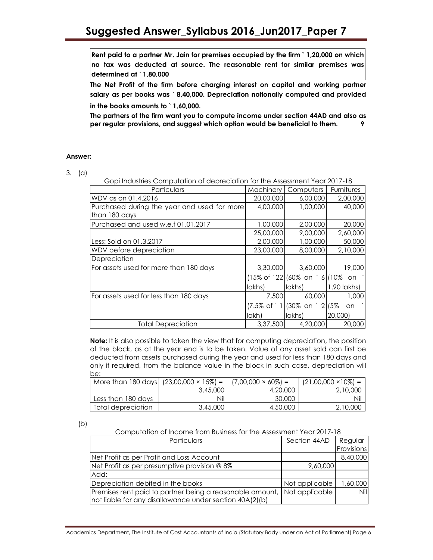Rent paid to a partner Mr. Jain for premises occupied by the firm ` 1,20,000 on which no tax was deducted at source. The reasonable rent for similar premises was determined at ` 1,80,000

The Net Profit of the firm before charging interest on capital and working partner salary as per books was ` 8,40,000. Depreciation notionally computed and provided in the books amounts to ` 1,60,000.

The partners of the firm want you to compute income under section 44AD and also as per regular provisions, and suggest which option would be beneficial to them. 9

### Answer:

### 3. (a)

| Gopi Industries Computation of depreciation for the Assessment Year 2017-18 |           |                                                                 |               |
|-----------------------------------------------------------------------------|-----------|-----------------------------------------------------------------|---------------|
| Particulars                                                                 | Machinery | Computers   Furnitures                                          |               |
| WDV as on 01.4.2016                                                         | 20,00,000 | 6,00,000                                                        | 2,00,000      |
| Purchased during the year and used for more<br>than 180 days                | 4,00,000  | 1,00,000                                                        | 40,000        |
| Purchased and used w.e.f 01.01.2017                                         | 1,00,000  | 2,00,000                                                        | 20,000        |
|                                                                             | 25,00,000 | 9,00,000                                                        | 2,60,000      |
| Less: Sold on 01.3.2017                                                     | 2,00,000  | 1,00,000                                                        | 50,000        |
| WDV before depreciation                                                     | 23,00,000 | 8,00,000                                                        | 2,10,000      |
| Depreciation                                                                |           |                                                                 |               |
| For assets used for more than 180 days                                      | 3,30,000  | 3,60,000                                                        | 19,000        |
|                                                                             |           | $(15\% \text{ of } 22)(60\% \text{ on } 6)(10\% \text{ on } 2)$ |               |
|                                                                             | lakhs)    | lakhs)                                                          | $1.90$ lakhs) |
| For assets used for less than 180 days                                      | 7,500     | 60,000                                                          | 1,000         |
|                                                                             |           | $(7.5\% \text{ of } 1)(30\% \text{ on } 2)(5\%)$                | on.           |
|                                                                             | lakh)     | lakhs)                                                          | 20,000)       |
| <b>Total Depreciation</b>                                                   | 3,37,500  | 4,20,000                                                        | 20,000        |

Note: It is also possible to taken the view that for computing depreciation, the position of the block, as at the year end is to be taken. Value of any asset sold can first be deducted from assets purchased during the year and used for less than 180 days and only if required, from the balance value in the block in such case, depreciation will be:

|                    | More than 180 days   $(23,00,000 \times 15\%) =$   $(7,00,000 \times 60\%) =$ |          | $(21,00,000 \times 10\%) =$ |
|--------------------|-------------------------------------------------------------------------------|----------|-----------------------------|
|                    | 3,45,000                                                                      | 4,20,000 | 2,10,000                    |
| Less than 180 days | Nil                                                                           | 30,000   | Nil                         |
| Total depreciation | 3,45,000                                                                      | 4,50,000 | 2,10,000                    |

| ٠<br>۰.<br>۰, |
|---------------|
|---------------|

Computation of Income from Business for the Assessment Year 2017-18

| Particulars                                                                                                           | Section 44AD   | Regular     |
|-----------------------------------------------------------------------------------------------------------------------|----------------|-------------|
|                                                                                                                       |                | Provisions  |
| Net Profit as per Profit and Loss Account                                                                             |                | 8,40,000    |
| Net Profit as per presumptive provision @ 8%                                                                          | 9,60,000       |             |
| Add:                                                                                                                  |                |             |
| Depreciation debited in the books                                                                                     | Not applicable | 60,000      |
| Premises rent paid to partner being a reasonable amount,  <br>not liable for any disallowance under section 40A(2)(b) | Not applicable | <b>Nill</b> |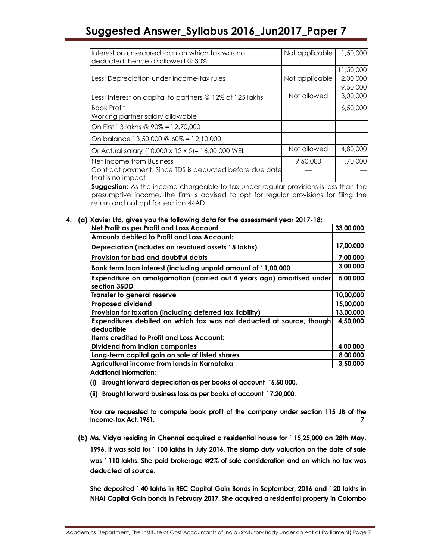| Interest on unsecured loan on which tax was not<br>deducted, hence disallowed @ 30% | Not applicable | 1,50,000  |
|-------------------------------------------------------------------------------------|----------------|-----------|
|                                                                                     |                | 11,50,000 |
| Less: Depreciation under income-tax rules                                           | Not applicable | 2,00,000  |
|                                                                                     |                | 9,50,000  |
| Less: Interest on capital to partners @ 12% of `25 lakhs                            | Not allowed    | 3,00,000  |
| <b>Book Profit</b>                                                                  |                | 6,50,000  |
| Working partner salary allowable                                                    |                |           |
| On First ` 3 lakhs @ $90\% = 2.70.000$                                              |                |           |
| On balance ` 3.50.000 @ 60% = ` 2.10.000                                            |                |           |
| Or Actual salary (10,000 x 12 x 5)= $\degree$ 6,00,000 WEL                          | Not allowed    | 4,80,000  |
| Net Income from Business                                                            | 9,60,000       | 1,70,000  |
| Contract payment: Since TDS is deducted before due date<br>that is no impact        |                |           |

**Suggestion:** As the income chargeable to tax under regular provisions is less than the presumptive income, the firm is advised to opt for regular provisions for filing the return and not opt for section 44AD.

## 4. (a) Xavier Ltd. gives you the following data for the assessment year 2017-18:

| Net Profit as per Profit and Loss Account                                             | 33,00,000 |
|---------------------------------------------------------------------------------------|-----------|
| Amounts debited to Profit and Loss Account:                                           |           |
| Depreciation (includes on revalued assets `5 lakhs)                                   | 17,00,000 |
| Provision for bad and doubtful debts                                                  | 7,00,000  |
| Bank term loan interest (including unpaid amount of `1,00,000                         | 3,00,000  |
| Expenditure on amalgamation (carried out 4 years ago) amortised under<br>section 35DD | 5,00,000  |
| <b>Transfer to general reserve</b>                                                    | 10,00,000 |
| <b>Proposed dividend</b>                                                              | 15,00,000 |
| Provision for taxation (including deferred tax liability)                             | 13,00,000 |
| Expenditures debited on which tax was not deducted at source, though<br>deductible    | 4,50,000  |
| <b>Items credited to Profit and Loss Account:</b>                                     |           |
| Dividend from Indian companies                                                        | 4,00,000  |
| Long-term capital gain on sale of listed shares                                       | 8,00,000  |
| Agricultural income from lands in Karnataka                                           | 3,50,000  |

Additional Information:

- (i) Brought forward depreciation as per books of account ` 6,50,000.
- (ii) Brought forward business loss as per books of account ` 7,20,000.

You are requested to compute book profit of the company under section 115 JB of the Income-tax Act, 1961. 7

(b) Ms. Vidya residing in Chennai acquired a residential house for ` 15,25,000 on 28th May, 1996. It was sold for ` 100 lakhs in July 2016. The stamp duty valuation on the date of sale was ` 110 lakhs. She paid brokerage @2% of sale consideration and on which no tax was deducted at source.

She deposited ` 40 lakhs in REC Capital Gain Bonds in September, 2016 and ` 20 lakhs in NHAI Capital Gain bonds in February 2017. She acquired a residential property in Colombo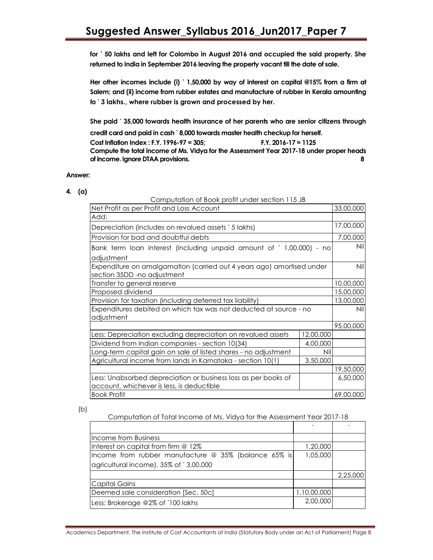for ` 50 lakhs and left for Colombo in August 2016 and occupied the said property. She returned to India in September 2016 leaving the property vacant till the date of sale.

Her other incomes include (i) ` 1,50,000 by way of interest on capital @15% from a firm at Salem; and (ii) income from rubber estates and manufacture of rubber in Kerala amounting to ` 3 lakhs., where rubber is grown and processed by her.

She paid ` 35,000 towards health insurance of her parents who are senior citizens through credit card and paid in cash ` 8,000 towards master health checkup for herself.

Cost Inflation Index : F.Y. 1996-97 = 305; F.Y. 2016-17 = 1125

Compute the total income of Ms. Vidya for the Assessment Year 2017-18 under proper heads of income. Ignore DTAA provisions. 8

### Answer:

| ۰<br>× |  |
|--------|--|

| Computation of book profit under section 113 JB                                                             |           |           |
|-------------------------------------------------------------------------------------------------------------|-----------|-----------|
| Net Profit as per Profit and Loss Account                                                                   |           | 33,00,000 |
| Add:                                                                                                        |           |           |
| Depreciation (includes on revalued assets `5 lakhs)                                                         |           | 17,00,000 |
| Provision for bad and doubtful debts                                                                        |           | 7,00,000  |
| Bank term loan interest (including unpaid amount of `1,00,000) - no<br>adjustment                           |           | Nil       |
| Expenditure on amalgamation (carried out 4 years ago) amortised under<br>section 35DD -no adjustment        |           | Nil       |
| Transfer to general reserve                                                                                 |           | 10,00,000 |
| Proposed dividend                                                                                           |           | 15,00,000 |
| Provision for taxation (including deferred tax liability)                                                   |           | 13,00,000 |
| Expenditures debited on which tax was not deducted at source - no                                           |           | Nil       |
| adjustment                                                                                                  |           |           |
|                                                                                                             |           | 95,00,000 |
| Less: Depreciation excluding depreciation on revalued assets                                                | 12,00,000 |           |
| Dividend from Indian companies - section 10(34)                                                             | 4,00,000  |           |
| Long-term capital gain on sale of listed shares - no adjustment                                             | Nil       |           |
| Agricultural income from lands in Karnataka - section 10(1)                                                 | 3,50,000  |           |
|                                                                                                             |           | 19,50,000 |
| Less: Unabsorbed depreciation or business loss as per books of<br>account, whichever is less, is deductible |           | 6,50,000  |
| <b>Book Profit</b>                                                                                          |           | 69,00,000 |

Computation of Book profit under section 115 JB

(b)

Computation of Total Income of Ms. Vidya for the Assessment Year 2017-18

| <b>Income from Business</b>                          |             |          |
|------------------------------------------------------|-------------|----------|
| Interest on capital from firm @ 12%                  | 1,20,000    |          |
| Income from rubber manufacture @ 35% (balance 65% is | 1,05,000    |          |
| agricultural income). 35% of `3,00,000               |             |          |
|                                                      |             | 2,25,000 |
| <b>Capital Gains</b>                                 |             |          |
| Deemed sale consideration [Sec. 50c]                 | 1,10,00,000 |          |
| Less: Brokerage @2% of `100 lakhs                    | 2,00,000    |          |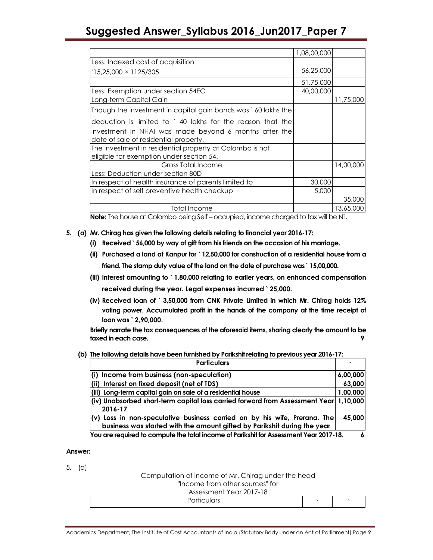|                                                               | 1,08,00,000 |           |
|---------------------------------------------------------------|-------------|-----------|
| Less: Indexed cost of acquisition                             |             |           |
| $15,25,000 \times 1125/305$                                   | 56,25,000   |           |
|                                                               | 51,75,000   |           |
| Less: Exemption under section 54EC                            | 40,00,000   |           |
| Long-term Capital Gain                                        |             | 11,75,000 |
| Though the investment in capital gain bonds was `60 lakhs the |             |           |
| deduction is limited to `40 lakhs for the reason that the     |             |           |
| investment in NHAI was made beyond 6 months after the         |             |           |
| date of sale of residential property.                         |             |           |
| The investment in residential property at Colombo is not      |             |           |
| eligible for exemption under section 54.                      |             |           |
| Gross Total Income                                            |             | 14,00,000 |
| Less: Deduction under section 80D                             |             |           |
| In respect of health insurance of parents limited to          | 30,000      |           |
| In respect of self preventive health checkup                  | 5,000       |           |
|                                                               |             | 35,000    |
| <b>Total Income</b>                                           |             | 13,65,000 |

Note: The house at Colombo being Self – occupied, income charged to tax will be Nil.

- 5. (a) Mr. Chirag has given the following details relating to financial year 2016-17:
	- (i) Received ` 56,000 by way of gift from his friends on the occasion of his marriage.
	- (ii) Purchased a land at Kanpur for ` 12,50,000 for construction of a residential house from a friend. The stamp duty value of the land on the date of purchase was ` 15,00,000.
	- (iii) Interest amounting to ` 1,80,000 relating to earlier years, on enhanced compensation received during the year. Legal expenses incurred ` 25,000.
	- (iv) Received loan of ` 3,50,000 from CNK Private Limited in which Mr. Chirag holds 12% voting power. Accumulated profit in the hands of the company at the time receipt of loan was ` 2,90,000.

Briefly narrate the tax consequences of the aforesaid items, sharing clearly the amount to be taxed in each case.

(b) The following details have been furnished by Parikshit relating to previous year 2016-17:

| <b>Particulars</b>                                                                                                                                      |          |
|---------------------------------------------------------------------------------------------------------------------------------------------------------|----------|
| Income from business (non-speculation)                                                                                                                  | 6,00,000 |
| Interest on fixed deposit (net of TDS)                                                                                                                  | 63,000   |
| (iii) Long-term capital gain on sale of a residential house                                                                                             | 1,00,000 |
| $ $ (iv) Unabsorbed short-term capital loss carried forward from Assessment Year $ $ 1,10,000 $ $<br>2016-17                                            |          |
| $(v)$ Loss in non-speculative business carried on by his wife, Prerana. The<br>business was started with the amount gifted by Parikshit during the year | 45,000   |
| You are required to compute the total income of Parikshit for Assessment Year 2017-18.                                                                  |          |

#### Answer:

5. (a)

Computation of income of Mr. Chirag under the head

### "Income from other sources" for

## Assessment Year 2017-18

Academics Department, The Institute of Cost Accountants of India (Statutory Body under an Act of Parliament) Page 9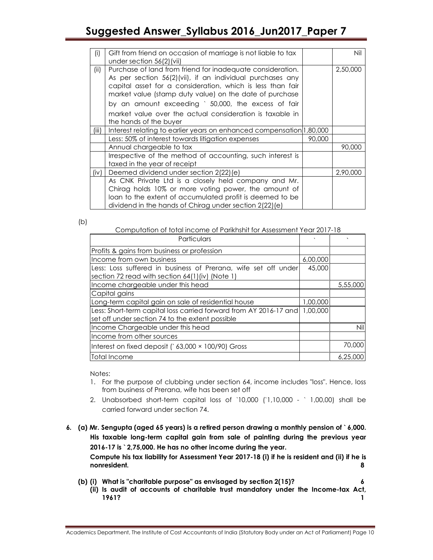| (i)   | Gift from friend on occasion of marriage is not liable to tax        |        | Nil      |
|-------|----------------------------------------------------------------------|--------|----------|
|       | under section $56(2)$ (vii)                                          |        |          |
| (ii)  | Purchase of land from friend for inadequate consideration.           |        | 2,50,000 |
|       | As per section 56(2)(vii), if an individual purchases any            |        |          |
|       | capital asset for a consideration, which is less than fair           |        |          |
|       | market value (stamp duty value) on the date of purchase              |        |          |
|       |                                                                      |        |          |
|       | by an amount exceeding ` 50,000, the excess of fair                  |        |          |
|       | market value over the actual consideration is taxable in             |        |          |
|       | the hands of the buyer                                               |        |          |
| (iii) | Interest relating to earlier years on enhanced compensation 1,80,000 |        |          |
|       | Less: 50% of interest towards litigation expenses                    | 90,000 |          |
|       | Annual chargeable to tax                                             |        | 90,000   |
|       | Irrespective of the method of accounting, such interest is           |        |          |
|       | taxed in the year of receipt                                         |        |          |
| (iv)  | Deemed dividend under section 2(22) (e)                              |        | 2,90,000 |
|       | As CNK Private Ltd is a closely held company and Mr.                 |        |          |
|       | Chirag holds 10% or more voting power, the amount of                 |        |          |
|       | loan to the extent of accumulated profit is deemed to be             |        |          |
|       | dividend in the hands of Chirag under section 2(22)(e)               |        |          |
|       |                                                                      |        |          |

(b)

Computation of total income of Parikhshit for Assessment Year 2017-18

| Particulars                                                                                                          |          |          |
|----------------------------------------------------------------------------------------------------------------------|----------|----------|
| Profits & gains from business or profession                                                                          |          |          |
| Income from own business                                                                                             | 6,00,000 |          |
| Less: Loss suffered in business of Prerana, wife set off under<br>section 72 read with section 64(1)(iv) (Note 1)    | 45,000   |          |
| Income chargeable under this head                                                                                    |          | 5,55,000 |
| Capital gains                                                                                                        |          |          |
| Long-term capital gain on sale of residential house                                                                  | 1,00,000 |          |
| Less: Short-term capital loss carried forward from AY 2016-17 and<br>set off under section 74 to the extent possible | 1,00,000 |          |
| Income Chargeable under this head                                                                                    |          | Nil      |
| Income from other sources                                                                                            |          |          |
| Interest on fixed deposit $($ 63,000 $\times$ 100/90) Gross                                                          |          | 70,000   |
| Total Income                                                                                                         |          | 6,25,00  |

Notes:

- 1. For the purpose of clubbing under section 64, income includes "loss". Hence, loss from business of Prerana, wife has been set off
- 2. Unabsorbed short-term capital loss of `10,000 (`1,10,000 ` 1,00,00) shall be carried forward under section 74.

6. (a) Mr. Sengupta (aged 65 years) is a retired person drawing a monthly pension of ` 6,000. His taxable long-term capital gain from sale of painting during the previous year 2016-17 is ` 2,75,000. He has no other income during the year. Compute his tax liability for Assessment Year 2017-18 (i) if he is resident and (ii) if he is nonresident. 8

- (b) (i) What is "charitable purpose" as envisaged by section 2(15)? 6
	- (ii) Is audit of accounts of charitable trust mandatory under the Income-tax Act, 1961? 1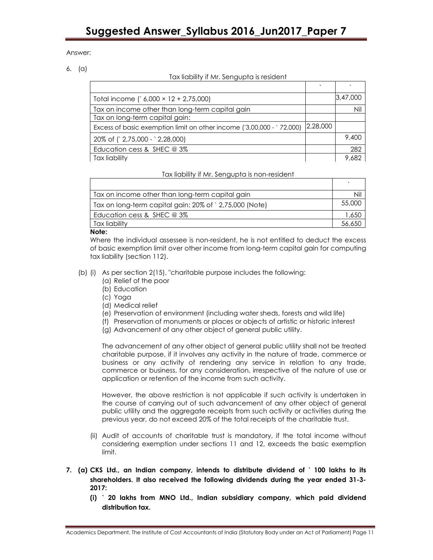Answer:

6. (a)

Tax liability if Mr. Sengupta is resident

| Total income $(6,000 \times 12 + 2,75,000)$                           |          | 3,47,000 |
|-----------------------------------------------------------------------|----------|----------|
| Tax on income other than long-term capital gain                       |          | Nil      |
| Tax on long-term capital gain:                                        |          |          |
| Excess of basic exemption limit on other income ('3,00,000 - '72,000) | 2,28,000 |          |
| 20% of (`2,75,000 - `2,28,000)                                        |          | 9,400    |
| Education cess & SHEC $@3\%$                                          |          | 282      |
| Tax liability                                                         |          | 9.682    |

Tax liability if Mr. Sengupta is non-resident

| Tax on income other than long-term capital gain        |        |
|--------------------------------------------------------|--------|
| Tax on long-term capital gain: 20% of `2,75,000 (Note) | 55,000 |
| Education cess & SHEC @ 3%                             | 1,650  |
| Tax liability                                          |        |

## Note:

Г

Where the individual assessee is non-resident, he is not entitled to deduct the excess of basic exemption limit over other income from long-term capital gain for computing tax liability (section 112).

- (b) (i) As per section 2(15), "charitable purpose includes the following:
	- (a) Relief of the poor
	- (b) Education
	- (c) Yoga
	- (d) Medical relief
	- (e) Preservation of environment (including water sheds, forests and wild life)
	- (f) Preservation of monuments or places or objects of artistic or historic interest
	- (g) Advancement of any other object of general public utility.

The advancement of any other object of general public utility shall not be treated charitable purpose, if it involves any activity in the nature of trade, commerce or business or any activity of rendering any service in relation to any trade, commerce or business, for any consideration, irrespective of the nature of use or application or retention of the income from such activity.

However, the above restriction is not applicable if such activity is undertaken in the course of carrying out of such advancement of any other object of general public utility and the aggregate receipts from such activity or activities during the previous year, do not exceed 20% of the total receipts of the charitable trust.

- (ii) Audit of accounts of charitable trust is mandatory, if the total income without considering exemption under sections 11 and 12, exceeds the basic exemption limit.
- 7. (a) CKS Ltd., an Indian company, intends to distribute dividend of ` 100 lakhs to its shareholders. It also received the following dividends during the year ended 31-3- 2017:
	- (i) ` 20 lakhs from MNO Ltd., Indian subsidiary company, which paid dividend distribution tax.

Academics Department, The Institute of Cost Accountants of India (Statutory Body under an Act of Parliament) Page 11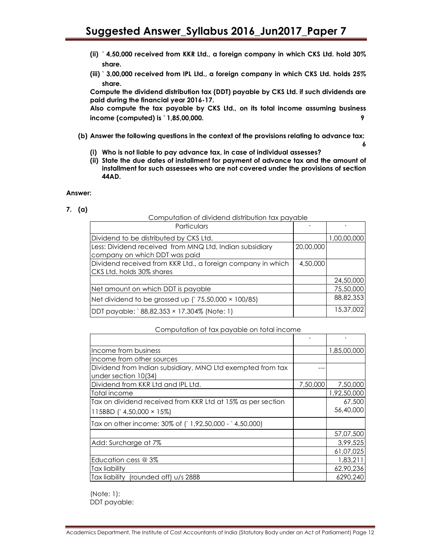- (ii) ` 4,50,000 received from KKR Ltd., a foreign company in which CKS Ltd. hold 30% share.
- (iii) ` 3,00,000 received from IPL Ltd., a foreign company in which CKS Ltd. holds 25% share.

Compute the dividend distribution tax (DDT) payable by CKS Ltd. if such dividends are paid during the financial year 2016-17.

Also compute the tax payable by CKS Ltd., on its total income assuming business income (computed) is ` 1,85,00,000. 9

(b) Answer the following questions in the context of the provisions relating to advance tax:

6

- (i) Who is not liable to pay advance tax, in case of individual assesses?
- (ii) State the due dates of installment for payment of advance tax and the amount of installment for such assessees who are not covered under the provisions of section 44AD.

### Answer:

7. (a)

Computation of dividend distribution tax payable

| Particulars                                                 |           |             |
|-------------------------------------------------------------|-----------|-------------|
| Dividend to be distributed by CKS Ltd.                      |           | 1,00,00,000 |
| Less: Dividend received from MNQ Ltd, Indian subsidiary     | 20,00,000 |             |
| company on which DDT was paid                               |           |             |
| Dividend received from KKR Ltd., a foreign company in which | 4,50,000  |             |
| CKS Ltd. holds 30% shares                                   |           |             |
|                                                             |           | 24,50,000   |
| Net amount on which DDT is payable                          |           | 75,50,000   |
| Net dividend to be grossed up $(35,50,000 \times 100/85)$   |           | 88,82,353   |
| DDT payable: 88,82,353 × 17.304% (Note: 1)                  |           | 15,37,002   |

#### Computation of tax payable on total income

|                                                             | $\mathbf{v}$ |             |
|-------------------------------------------------------------|--------------|-------------|
| Income from business                                        |              | 1,85,00,000 |
| Income from other sources                                   |              |             |
| Dividend from Indian subsidiary, MNO Ltd exempted from tax  |              |             |
| under section 10(34)                                        |              |             |
| Dividend from KKR Ltd and IPL Ltd.                          | 7,50,000     | 7,50,000    |
| Total income                                                |              | 1,92,50,000 |
| Tax on dividend received from KKR Ltd at 15% as per section |              | 67,500      |
| 115BBD $(4,50,000 \times 15\%)$                             |              | 56,40,000   |
| Tax on other income: 30% of (`1,92,50,000 - `4,50,000)      |              |             |
|                                                             |              | 57,07,500   |
| Add: Surcharge at 7%                                        |              | 3,99,525    |
|                                                             |              | 61,07,025   |
| Education cess @ 3%                                         |              | 1,83,211    |
| Tax liability                                               |              | 62,90,236   |
| Tax liability (rounded off) u/s 288B                        |              | 6290,240    |

 (Note: 1): DDT payable: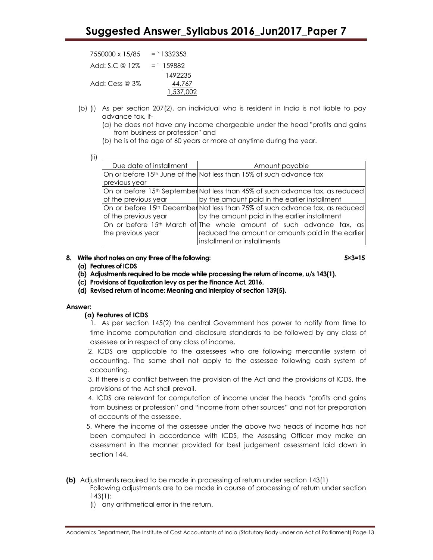$7550000 \times 15/85 = 1332353$ Add: S.C @  $12\% = \frac{159882}{159882}$  1492235 Add: Cess @ 3% 44,767 1,537,002

- (b) (i) As per section 207(2), an individual who is resident in India is not liable to pay advance tax, if-
	- (a) he does not have any income chargeable under the head "profits and gains from business or profession" and
	- (b) he is of the age of 60 years or more at anytime during the year.

(ii)

| Due date of installment | Amount payable                                                                |
|-------------------------|-------------------------------------------------------------------------------|
|                         | On or before 15th June of the Not less than 15% of such advance tax           |
| previous year           |                                                                               |
|                         | On or before 15th September Not less than 45% of such advance tax, as reduced |
| of the previous year    | by the amount paid in the earlier installment                                 |
|                         | On or before 15th December Not less than 75% of such advance tax, as reduced  |
| of the previous year    | by the amount paid in the earlier installment                                 |
|                         | On or before 15th March of The whole amount of such advance tax, as           |
| the previous year       | reduced the amount or amounts paid in the earlier                             |
|                         | installment or installments                                                   |

# 8. Write short notes on any three of the following:  $5\times3=15$

- (a) Features of ICDS
- (b) Adjustments required to be made while processing the return of income, u/s 143(1).
- (c) Provisions of Equalization levy as per the Finance Act, 2016.
- (d) Revised return of income: Meaning and interplay of section 139(5).

# Answer:

# (a) Features of ICDS

 1. As per section 145(2) the central Government has power to notify from time to time income computation and disclosure standards to be followed by any class of assessee or in respect of any class of income.

 2. ICDS are applicable to the assessees who are following mercantile system of accounting. The same shall not apply to the assessee following cash system of accounting.

 3. If there is a conflict between the provision of the Act and the provisions of ICDS, the provisions of the Act shall prevail.

 4. ICDS are relevant for computation of income under the heads "profits and gains from business or profession" and "income from other sources" and not for preparation of accounts of the assessee.

- 5. Where the income of the assessee under the above two heads of income has not been computed in accordance with ICDS, the Assessing Officer may make an assessment in the manner provided for best judgement assessment laid down in section 144.
- (b) Adjustments required to be made in processing of return under section 143(1) Following adjustments are to be made in course of processing of return under section
	- 143(1):
	- (i) any arithmetical error in the return.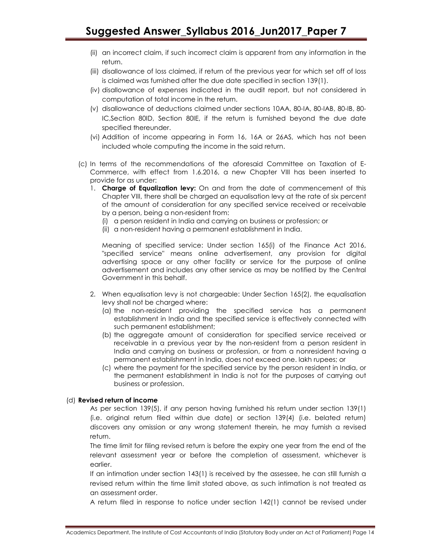- (ii) an incorrect claim, if such incorrect claim is apparent from any information in the return.
- (iii) disallowance of loss claimed, if return of the previous year for which set off of loss is claimed was furnished after the due date specified in section 139(1).
- (iv) disallowance of expenses indicated in the audit report, but not considered in computation of total income in the return.
- (v) disallowance of deductions claimed under sections 10AA, 80-IA, 80-IAB, 80-IB, 80- IC,Section 80ID, Section 80IE, if the return is furnished beyond the due date specified thereunder.
- (vi) Addition of income appearing in Form 16, 16A or 26AS, which has not been included whole computing the income in the said return.
- (c) In terms of the recommendations of the aforesaid Committee on Taxation of E-Commerce, with effect from 1.6.2016, a new Chapter VIII has been inserted to provide for as under:
	- 1. **Charge of Equalization levy:** On and from the date of commencement of this Chapter VIII, there shall be charged an equalisation levy at the rate of six percent of the amount of consideration for any specified service received or receivable by a person, being a non-resident from:
		- (i) a person resident in India and carrying on business or profession; or
		- (ii) a non-resident having a permanent establishment in India.

Meaning of specified service: Under section 165(i) of the Finance Act 2016, "specified service" means online advertisement, any provision for digital advertising space or any other facility or service for the purpose of online advertisement and includes any other service as may be notified by the Central Government in this behalf.

- 2. When equalisation levy is not chargeable: Under Section 165(2), the equalisation levy shall not be charged where:
	- (a) the non-resident providing the specified service has a permanent establishment in India and the specified service is effectively connected with such permanent establishment;
	- (b) the aggregate amount of consideration for specified service received or receivable in a previous year by the non-resident from a person resident in India and carrying on business or profession, or from a nonresident having a permanent establishment in India, does not exceed one. lakh rupees; or
	- (c) where the payment for the specified service by the person resident in India, or the permanent establishment in India is not for the purposes of carrying out business or profession.

# (d) Revised return of income

As per section 139(5), if any person having furnished his return under section 139(1) (i.e. original return filed within due date) or section 139(4) (i.e. belated return) discovers any omission or any wrong statement therein, he may furnish a revised return.

The time limit for filing revised return is before the expiry one year from the end of the relevant assessment year or before the completion of assessment, whichever is earlier.

If an intimation under section 143(1) is received by the assessee, he can still furnish a revised return within the time limit stated above, as such intimation is not treated as an assessment order.

A return filed in response to notice under section 142(1) cannot be revised under